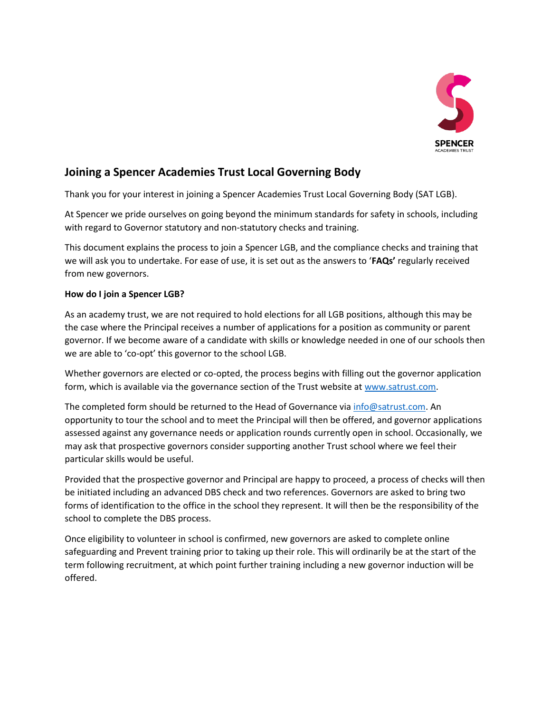

# **Joining a Spencer Academies Trust Local Governing Body**

Thank you for your interest in joining a Spencer Academies Trust Local Governing Body (SAT LGB).

At Spencer we pride ourselves on going beyond the minimum standards for safety in schools, including with regard to Governor statutory and non-statutory checks and training.

This document explains the process to join a Spencer LGB, and the compliance checks and training that we will ask you to undertake. For ease of use, it is set out as the answers to '**FAQs'** regularly received from new governors.

## **How do I join a Spencer LGB?**

As an academy trust, we are not required to hold elections for all LGB positions, although this may be the case where the Principal receives a number of applications for a position as community or parent governor. If we become aware of a candidate with skills or knowledge needed in one of our schools then we are able to 'co-opt' this governor to the school LGB.

Whether governors are elected or co-opted, the process begins with filling out the governor application form, which is available via the governance section of the Trust website at [www.satrust.com.](http://www.satrust.com/)

The completed form should be returned to the Head of Governance vi[a info@satrust.com.](mailto:info@satrust.com) An opportunity to tour the school and to meet the Principal will then be offered, and governor applications assessed against any governance needs or application rounds currently open in school. Occasionally, we may ask that prospective governors consider supporting another Trust school where we feel their particular skills would be useful.

Provided that the prospective governor and Principal are happy to proceed, a process of checks will then be initiated including an advanced DBS check and two references. Governors are asked to bring two forms of identification to the office in the school they represent. It will then be the responsibility of the school to complete the DBS process.

Once eligibility to volunteer in school is confirmed, new governors are asked to complete online safeguarding and Prevent training prior to taking up their role. This will ordinarily be at the start of the term following recruitment, at which point further training including a new governor induction will be offered.